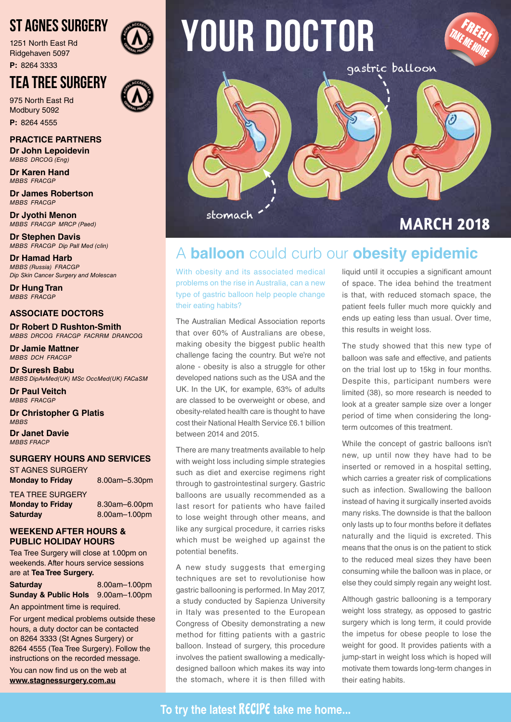## ST AGNES SURGERY

1251 North East Rd Ridgehaven 5097

**P:** 8264 3333

## TEA TREE SURGERY

975 North East Rd Modbury 5092 **P:** 8264 4555

**PRACTICE PARTNERS Dr John Lepoidevin**

*MBBS DRCOG (Eng)* **Dr Karen Hand**

*MBBS FRACGP*

**Dr James Robertson** *MBBS FRACGP*

**Dr Jyothi Menon** *MBBS FRACGP MRCP (Paed)*

**Dr Stephen Davis** *MBBS FRACGP Dip Pall Med (clin)*

**Dr Hamad Harb** *MBBS (Russia) FRACGP Dip Skin Cancer Surgery and Molescan*

**Dr Hung Tran** *MBBS FRACGP*

#### **ASSOCIATE DOCTORS**

**Dr Robert D Rushton-Smith**  *MBBS DRCOG FRACGP FACRRM DRANCOG*

**Dr Jamie Mattner** *MBBS DCH FRACGP*

**Dr Suresh Babu** *MBBS DipAvMed(UK) MSc OccMed(UK) FACaSM*

**Dr Paul Veitch** *MBBS FRACGP*

**Dr Christopher G Platis** *MBBS*

**Dr Janet Davie** *MBBS FRACP*

#### **SURGERY HOURS AND SERVICES**

ST AGNES SURGERY **Monday to Friday** 8.00am–5.30pm

TEA TREE SURGERY

**Monday to Friday** 8.30am–6.00pm Saturday 8.00am–1.00pm

#### **WEEKEND AFTER HOURS & PUBLIC HOLIDAY HOURS**

Tea Tree Surgery will close at 1.00pm on weekends. After hours service sessions are at **Tea Tree Surgery.**

#### Saturday 8.00am–1.00pm **Sunday & Public Hols** 9.00am-1.00pm

An appointment time is required.

For urgent medical problems outside these hours, a duty doctor can be contacted on 8264 3333 (St Agnes Surgery) or 8264 4555 (Tea Tree Surgery). Follow the instructions on the recorded message.

You can now find us on the web at **www.stagnessurgery.com.au**



# **YOUR doctor**



## **MARCH 2018**

FREE!!<br>FMEE!! TAKE ME HOME

## A **balloon** could curb our **obesity epidemic**

With obesity and its associated medical problems on the rise in Australia, can a new type of gastric balloon help people change their eating habits?

The Australian Medical Association reports that over 60% of Australians are obese, making obesity the biggest public health challenge facing the country. But we're not alone - obesity is also a struggle for other developed nations such as the USA and the UK. In the UK, for example, 63% of adults are classed to be overweight or obese, and obesity-related health care is thought to have cost their National Health Service £6.1 billion between 2014 and 2015.

There are many treatments available to help with weight loss including simple strategies such as diet and exercise regimens right through to gastrointestinal surgery. Gastric balloons are usually recommended as a last resort for patients who have failed to lose weight through other means, and like any surgical procedure, it carries risks which must be weighed up against the potential benefits.

A new study suggests that emerging techniques are set to revolutionise how gastric ballooning is performed. In May 2017, a study conducted by Sapienza University in Italy was presented to the European Congress of Obesity demonstrating a new method for fitting patients with a gastric balloon. Instead of surgery, this procedure involves the patient swallowing a medicallydesigned balloon which makes its way into the stomach, where it is then filled with

liquid until it occupies a significant amount of space. The idea behind the treatment is that, with reduced stomach space, the patient feels fuller much more quickly and ends up eating less than usual. Over time, this results in weight loss.

The study showed that this new type of balloon was safe and effective, and patients on the trial lost up to 15kg in four months. Despite this, participant numbers were limited (38), so more research is needed to look at a greater sample size over a longer period of time when considering the longterm outcomes of this treatment.

While the concept of gastric balloons isn't new, up until now they have had to be inserted or removed in a hospital setting, which carries a greater risk of complications such as infection. Swallowing the balloon instead of having it surgically inserted avoids many risks. The downside is that the balloon only lasts up to four months before it deflates naturally and the liquid is excreted. This means that the onus is on the patient to stick to the reduced meal sizes they have been consuming while the balloon was in place, or else they could simply regain any weight lost.

Although gastric ballooning is a temporary weight loss strategy, as opposed to gastric surgery which is long term, it could provide the impetus for obese people to lose the weight for good. It provides patients with a jump-start in weight loss which is hoped will motivate them towards long-term changes in their eating habits.

### **To try the latest RECIPE take me home...**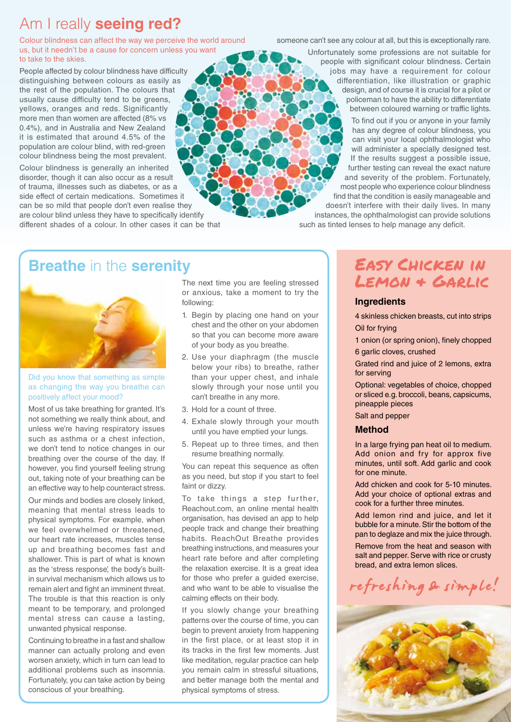## Am I really **seeing red?**

Colour blindness can affect the way we perceive the world around us, but it needn't be a cause for concern unless you want to take to the skies.

People affected by colour blindness have difficulty distinguishing between colours as easily as the rest of the population. The colours that usually cause difficulty tend to be greens, yellows, oranges and reds. Significantly more men than women are affected (8% vs 0.4%), and in Australia and New Zealand it is estimated that around 4.5% of the population are colour blind, with red-green colour blindness being the most prevalent.

Colour blindness is generally an inherited disorder, though it can also occur as a result of trauma, illnesses such as diabetes, or as a side effect of certain medications. Sometimes it can be so mild that people don't even realise they are colour blind unless they have to specifically identify different shades of a colour. In other cases it can be that someone can't see any colour at all, but this is exceptionally rare.

Unfortunately some professions are not suitable for people with significant colour blindness. Certain jobs may have a requirement for colour differentiation, like illustration or graphic design, and of course it is crucial for a pilot or policeman to have the ability to differentiate between coloured warning or traffic lights.

> To find out if you or anyone in your family has any degree of colour blindness, you can visit your local ophthalmologist who will administer a specially designed test. If the results suggest a possible issue, further testing can reveal the exact nature and severity of the problem. Fortunately, most people who experience colour blindness find that the condition is easily manageable and

doesn't interfere with their daily lives. In many instances, the ophthalmologist can provide solutions such as tinted lenses to help manage any deficit.

## **Breathe** in the **serenity**



#### Did you know that something as simple as changing the way you breathe can positively affect your mood?

Most of us take breathing for granted. It's not something we really think about, and unless we're having respiratory issues such as asthma or a chest infection, we don't tend to notice changes in our breathing over the course of the day. If however, you find yourself feeling strung out, taking note of your breathing can be an effective way to help counteract stress.

Our minds and bodies are closely linked, meaning that mental stress leads to physical symptoms. For example, when we feel overwhelmed or threatened, our heart rate increases, muscles tense up and breathing becomes fast and shallower. This is part of what is known as the 'stress response', the body's builtin survival mechanism which allows us to remain alert and fight an imminent threat. The trouble is that this reaction is only meant to be temporary, and prolonged mental stress can cause a lasting, unwanted physical response.

Continuing to breathe in a fast and shallow manner can actually prolong and even worsen anxiety, which in turn can lead to additional problems such as insomnia. Fortunately, you can take action by being conscious of your breathing.

The next time you are feeling stressed or anxious, take a moment to try the following:

- 1. Begin by placing one hand on your chest and the other on your abdomen so that you can become more aware of your body as you breathe.
- 2. Use your diaphragm (the muscle below your ribs) to breathe, rather than your upper chest, and inhale slowly through your nose until you can't breathe in any more.
- 3. Hold for a count of three.
- 4. Exhale slowly through your mouth until you have emptied your lungs.
- 5. Repeat up to three times, and then resume breathing normally.

You can repeat this sequence as often as you need, but stop if you start to feel faint or dizzy.

To take things a step further, Reachout.com, an online mental health organisation, has devised an app to help people track and change their breathing habits. ReachOut Breathe provides breathing instructions, and measures your heart rate before and after completing the relaxation exercise. It is a great idea for those who prefer a guided exercise, and who want to be able to visualise the calming effects on their body.

If you slowly change your breathing patterns over the course of time, you can begin to prevent anxiety from happening in the first place, or at least stop it in its tracks in the first few moments. Just like meditation, regular practice can help you remain calm in stressful situations, and better manage both the mental and physical symptoms of stress.

## Easy Chicken in Lemon & Garlic

#### **Ingredients**

4 skinless chicken breasts, cut into strips Oil for frying

1 onion (or spring onion), finely chopped 6 garlic cloves, crushed

Grated rind and juice of 2 lemons, extra for serving

Optional: vegetables of choice, chopped or sliced e.g. broccoli, beans, capsicums, pineapple pieces

Salt and pepper

#### **Method**

In a large frying pan heat oil to medium. Add onion and fry for approx five minutes, until soft. Add garlic and cook for one minute.

Add chicken and cook for 5-10 minutes. Add your choice of optional extras and cook for a further three minutes.

Add lemon rind and juice, and let it bubble for a minute. Stir the bottom of the pan to deglaze and mix the juice through.

Remove from the heat and season with salt and pepper. Serve with rice or crusty bread, and extra lemon slices.

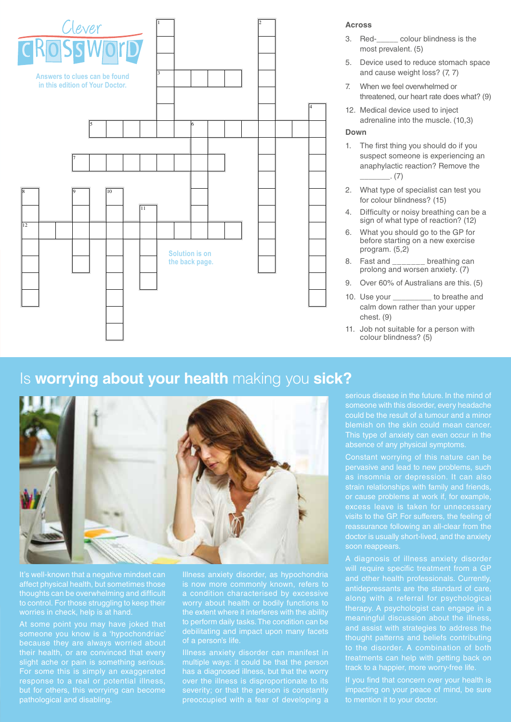

#### **Across**

- 3. Red-\_\_\_\_\_ colour blindness is the most prevalent. (5)
- 5. Device used to reduce stomach space and cause weight loss? (7, 7)
- 7. When we feel overwhelmed or threatened, our heart rate does what? (9)
- 12. Medical device used to inject adrenaline into the muscle. (10,3)

#### **Down**

- 1. The first thing you should do if you suspect someone is experiencing an anaphylactic reaction? Remove the  $(7)$
- 2. What type of specialist can test you for colour blindness? (15)
- 4. Difficulty or noisy breathing can be a sign of what type of reaction? (12)
- 6. What you should go to the GP for before starting on a new exercise program. (5,2)
- 8. Fast and breathing can prolong and worsen anxiety. (7)
- 9. Over 60% of Australians are this. (5)
- 10. Use your to breathe and calm down rather than your upper chest. (9)
- 11. Job not suitable for a person with colour blindness? (5)

## Is **worrying about your health** making you **sick?**



to control. For those struggling to keep their

their health, or are convinced that every slight ache or pain is something serious. For some this is simply an exaggerated response to a real or potential illness, but for others, this worrying can become pathological and disabling.

Illness anxiety disorder can manifest in multiple ways: it could be that the person has a diagnosed illness, but that the worry over the illness is disproportionate to its severity; or that the person is constantly preoccupied with a fear of developing a

visits to the GP. For sufferers, the feeling of doctor is usually short-lived, and the anxiety soon reappears.

therapy. A psychologist can engage in a meaningful discussion about the illness, and assist with strategies to address the thought patterns and beliefs contributing to the disorder. A combination of both treatments can help with getting back on track to a happier, more worry-free life.

to mention it to your doctor.